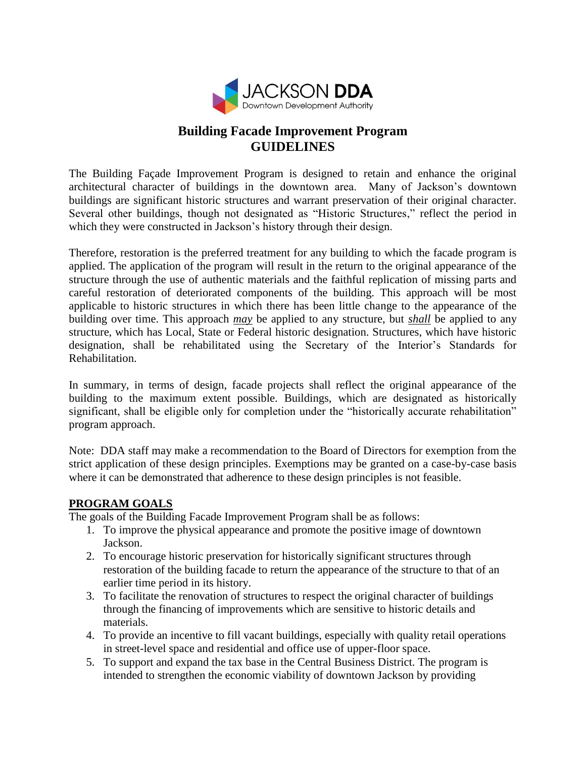

## **Building Facade Improvement Program GUIDELINES**

The Building Façade Improvement Program is designed to retain and enhance the original architectural character of buildings in the downtown area. Many of Jackson's downtown buildings are significant historic structures and warrant preservation of their original character. Several other buildings, though not designated as "Historic Structures," reflect the period in which they were constructed in Jackson's history through their design.

Therefore, restoration is the preferred treatment for any building to which the facade program is applied. The application of the program will result in the return to the original appearance of the structure through the use of authentic materials and the faithful replication of missing parts and careful restoration of deteriorated components of the building. This approach will be most applicable to historic structures in which there has been little change to the appearance of the building over time. This approach *may* be applied to any structure, but *shall* be applied to any structure, which has Local, State or Federal historic designation. Structures, which have historic designation, shall be rehabilitated using the Secretary of the Interior's Standards for Rehabilitation.

In summary, in terms of design, facade projects shall reflect the original appearance of the building to the maximum extent possible. Buildings, which are designated as historically significant, shall be eligible only for completion under the "historically accurate rehabilitation" program approach.

Note: DDA staff may make a recommendation to the Board of Directors for exemption from the strict application of these design principles. Exemptions may be granted on a case-by-case basis where it can be demonstrated that adherence to these design principles is not feasible.

#### **PROGRAM GOALS**

The goals of the Building Facade Improvement Program shall be as follows:

- 1. To improve the physical appearance and promote the positive image of downtown Jackson.
- 2. To encourage historic preservation for historically significant structures through restoration of the building facade to return the appearance of the structure to that of an earlier time period in its history.
- 3. To facilitate the renovation of structures to respect the original character of buildings through the financing of improvements which are sensitive to historic details and materials.
- 4. To provide an incentive to fill vacant buildings, especially with quality retail operations in street-level space and residential and office use of upper-floor space.
- 5. To support and expand the tax base in the Central Business District. The program is intended to strengthen the economic viability of downtown Jackson by providing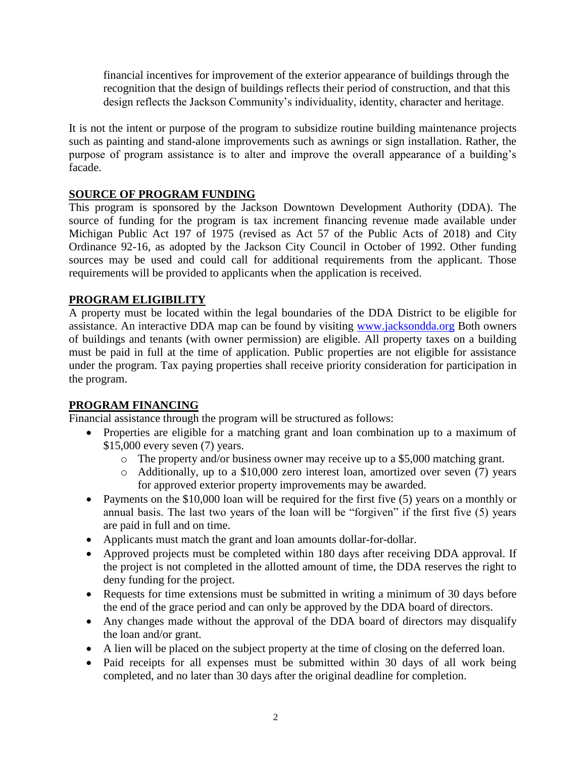financial incentives for improvement of the exterior appearance of buildings through the recognition that the design of buildings reflects their period of construction, and that this design reflects the Jackson Community's individuality, identity, character and heritage.

It is not the intent or purpose of the program to subsidize routine building maintenance projects such as painting and stand-alone improvements such as awnings or sign installation. Rather, the purpose of program assistance is to alter and improve the overall appearance of a building's facade.

#### **SOURCE OF PROGRAM FUNDING**

This program is sponsored by the Jackson Downtown Development Authority (DDA). The source of funding for the program is tax increment financing revenue made available under Michigan Public Act 197 of 1975 (revised as Act 57 of the Public Acts of 2018) and City Ordinance 92-16, as adopted by the Jackson City Council in October of 1992. Other funding sources may be used and could call for additional requirements from the applicant. Those requirements will be provided to applicants when the application is received.

#### **PROGRAM ELIGIBILITY**

A property must be located within the legal boundaries of the DDA District to be eligible for assistance. An interactive DDA map can be found by visiting [www.jacksondda.org](http://www.jacksondda.org/) Both owners of buildings and tenants (with owner permission) are eligible. All property taxes on a building must be paid in full at the time of application. Public properties are not eligible for assistance under the program. Tax paying properties shall receive priority consideration for participation in the program.

#### **PROGRAM FINANCING**

Financial assistance through the program will be structured as follows:

- Properties are eligible for a matching grant and loan combination up to a maximum of \$15,000 every seven (7) years.
	- o The property and/or business owner may receive up to a \$5,000 matching grant.
	- o Additionally, up to a \$10,000 zero interest loan, amortized over seven (7) years for approved exterior property improvements may be awarded.
- Payments on the \$10,000 loan will be required for the first five (5) years on a monthly or annual basis. The last two years of the loan will be "forgiven" if the first five (5) years are paid in full and on time.
- Applicants must match the grant and loan amounts dollar-for-dollar.
- Approved projects must be completed within 180 days after receiving DDA approval. If the project is not completed in the allotted amount of time, the DDA reserves the right to deny funding for the project.
- Requests for time extensions must be submitted in writing a minimum of 30 days before the end of the grace period and can only be approved by the DDA board of directors.
- Any changes made without the approval of the DDA board of directors may disqualify the loan and/or grant.
- A lien will be placed on the subject property at the time of closing on the deferred loan.
- Paid receipts for all expenses must be submitted within 30 days of all work being completed, and no later than 30 days after the original deadline for completion.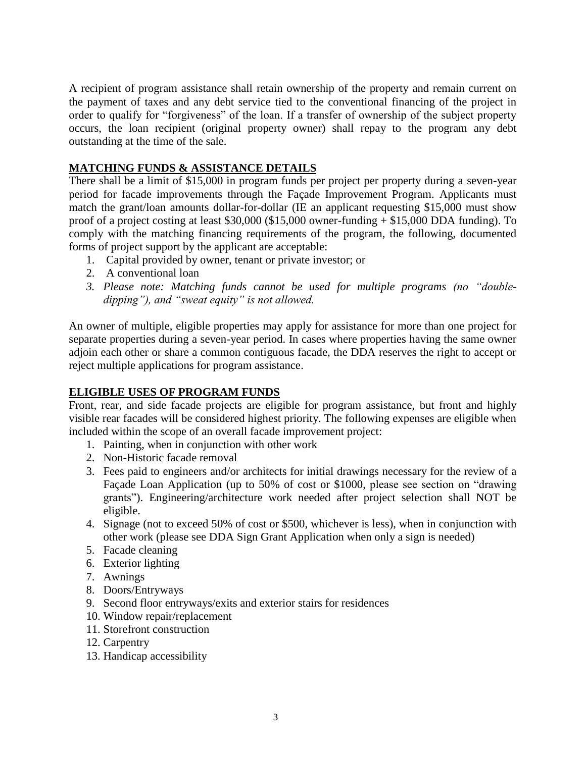A recipient of program assistance shall retain ownership of the property and remain current on the payment of taxes and any debt service tied to the conventional financing of the project in order to qualify for "forgiveness" of the loan. If a transfer of ownership of the subject property occurs, the loan recipient (original property owner) shall repay to the program any debt outstanding at the time of the sale.

#### **MATCHING FUNDS & ASSISTANCE DETAILS**

There shall be a limit of \$15,000 in program funds per project per property during a seven-year period for facade improvements through the Façade Improvement Program. Applicants must match the grant/loan amounts dollar-for-dollar (IE an applicant requesting \$15,000 must show proof of a project costing at least \$30,000 (\$15,000 owner-funding + \$15,000 DDA funding). To comply with the matching financing requirements of the program, the following, documented forms of project support by the applicant are acceptable:

- 1. Capital provided by owner, tenant or private investor; or
- 2. A conventional loan
- *3. Please note: Matching funds cannot be used for multiple programs (no "doubledipping"), and "sweat equity" is not allowed.*

An owner of multiple, eligible properties may apply for assistance for more than one project for separate properties during a seven-year period. In cases where properties having the same owner adjoin each other or share a common contiguous facade, the DDA reserves the right to accept or reject multiple applications for program assistance.

#### **ELIGIBLE USES OF PROGRAM FUNDS**

Front, rear, and side facade projects are eligible for program assistance, but front and highly visible rear facades will be considered highest priority. The following expenses are eligible when included within the scope of an overall facade improvement project:

- 1. Painting, when in conjunction with other work
- 2. Non-Historic facade removal
- 3. Fees paid to engineers and/or architects for initial drawings necessary for the review of a Façade Loan Application (up to 50% of cost or \$1000, please see section on "drawing grants"). Engineering/architecture work needed after project selection shall NOT be eligible.
- 4. Signage (not to exceed 50% of cost or \$500, whichever is less), when in conjunction with other work (please see DDA Sign Grant Application when only a sign is needed)
- 5. Facade cleaning
- 6. Exterior lighting
- 7. Awnings
- 8. Doors/Entryways
- 9. Second floor entryways/exits and exterior stairs for residences
- 10. Window repair/replacement
- 11. Storefront construction
- 12. Carpentry
- 13. Handicap accessibility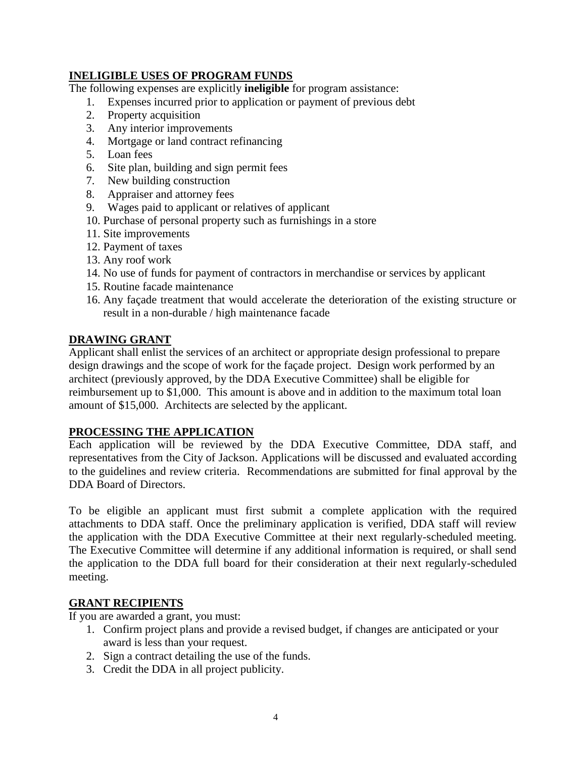#### **INELIGIBLE USES OF PROGRAM FUNDS**

The following expenses are explicitly **ineligible** for program assistance:

- 1. Expenses incurred prior to application or payment of previous debt
- 2. Property acquisition
- 3. Any interior improvements
- 4. Mortgage or land contract refinancing
- 5. Loan fees
- 6. Site plan, building and sign permit fees
- 7. New building construction
- 8. Appraiser and attorney fees
- 9. Wages paid to applicant or relatives of applicant
- 10. Purchase of personal property such as furnishings in a store
- 11. Site improvements
- 12. Payment of taxes
- 13. Any roof work
- 14. No use of funds for payment of contractors in merchandise or services by applicant
- 15. Routine facade maintenance
- 16. Any façade treatment that would accelerate the deterioration of the existing structure or result in a non-durable / high maintenance facade

#### **DRAWING GRANT**

Applicant shall enlist the services of an architect or appropriate design professional to prepare design drawings and the scope of work for the façade project. Design work performed by an architect (previously approved, by the DDA Executive Committee) shall be eligible for reimbursement up to \$1,000. This amount is above and in addition to the maximum total loan amount of \$15,000. Architects are selected by the applicant.

#### **PROCESSING THE APPLICATION**

Each application will be reviewed by the DDA Executive Committee, DDA staff, and representatives from the City of Jackson. Applications will be discussed and evaluated according to the guidelines and review criteria. Recommendations are submitted for final approval by the DDA Board of Directors.

To be eligible an applicant must first submit a complete application with the required attachments to DDA staff. Once the preliminary application is verified, DDA staff will review the application with the DDA Executive Committee at their next regularly-scheduled meeting. The Executive Committee will determine if any additional information is required, or shall send the application to the DDA full board for their consideration at their next regularly-scheduled meeting.

#### **GRANT RECIPIENTS**

If you are awarded a grant, you must:

- 1. Confirm project plans and provide a revised budget, if changes are anticipated or your award is less than your request.
- 2. Sign a contract detailing the use of the funds.
- 3. Credit the DDA in all project publicity.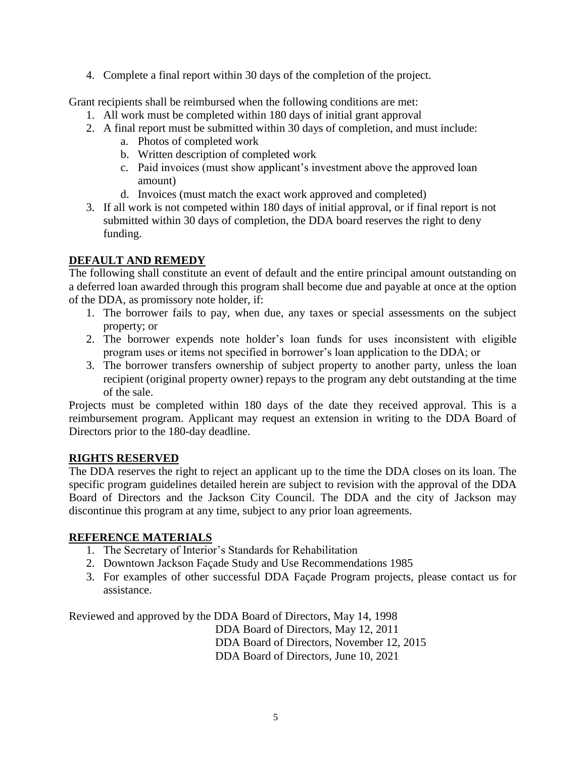4. Complete a final report within 30 days of the completion of the project.

Grant recipients shall be reimbursed when the following conditions are met:

- 1. All work must be completed within 180 days of initial grant approval
- 2. A final report must be submitted within 30 days of completion, and must include:
	- a. Photos of completed work
	- b. Written description of completed work
	- c. Paid invoices (must show applicant's investment above the approved loan amount)
	- d. Invoices (must match the exact work approved and completed)
- 3. If all work is not competed within 180 days of initial approval, or if final report is not submitted within 30 days of completion, the DDA board reserves the right to deny funding.

## **DEFAULT AND REMEDY**

The following shall constitute an event of default and the entire principal amount outstanding on a deferred loan awarded through this program shall become due and payable at once at the option of the DDA, as promissory note holder, if:

- 1. The borrower fails to pay, when due, any taxes or special assessments on the subject property; or
- 2. The borrower expends note holder's loan funds for uses inconsistent with eligible program uses or items not specified in borrower's loan application to the DDA; or
- 3. The borrower transfers ownership of subject property to another party, unless the loan recipient (original property owner) repays to the program any debt outstanding at the time of the sale.

Projects must be completed within 180 days of the date they received approval. This is a reimbursement program. Applicant may request an extension in writing to the DDA Board of Directors prior to the 180-day deadline.

#### **RIGHTS RESERVED**

The DDA reserves the right to reject an applicant up to the time the DDA closes on its loan. The specific program guidelines detailed herein are subject to revision with the approval of the DDA Board of Directors and the Jackson City Council. The DDA and the city of Jackson may discontinue this program at any time, subject to any prior loan agreements.

## **REFERENCE MATERIALS**

- 1. The Secretary of Interior's Standards for Rehabilitation
- 2. Downtown Jackson Façade Study and Use Recommendations 1985
- 3. For examples of other successful DDA Façade Program projects, please contact us for assistance.

Reviewed and approved by the DDA Board of Directors, May 14, 1998 DDA Board of Directors, May 12, 2011 DDA Board of Directors, November 12, 2015 DDA Board of Directors, June 10, 2021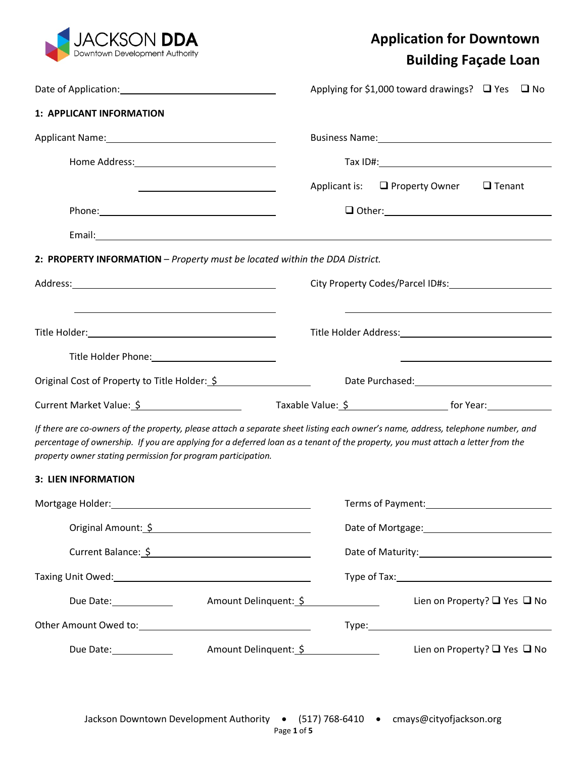

# **Application for Downtown Building Façade Loan**

|                                                                                                                                                                                                                                                                                                                                     |                       | Applying for \$1,000 toward drawings? $\Box$ Yes $\Box$ No                                                                                                                                                                           |  |
|-------------------------------------------------------------------------------------------------------------------------------------------------------------------------------------------------------------------------------------------------------------------------------------------------------------------------------------|-----------------------|--------------------------------------------------------------------------------------------------------------------------------------------------------------------------------------------------------------------------------------|--|
| 1: APPLICANT INFORMATION                                                                                                                                                                                                                                                                                                            |                       |                                                                                                                                                                                                                                      |  |
| Applicant Name: Manual Applicant Name: Manual Applicant Name: Manual Applicant Manual Applicant Manual Applicant Manual Applicant Manual Applicant Manual Applicant Manual Applicant Manual Applicant Manual Applicant Manual                                                                                                       |                       |                                                                                                                                                                                                                                      |  |
|                                                                                                                                                                                                                                                                                                                                     |                       |                                                                                                                                                                                                                                      |  |
| <u> 1980 - Jan Samuel Barbara, poeta esperanto-poeta esperanto-poeta esperanto-poeta esperanto-poeta esperanto-po</u>                                                                                                                                                                                                               | Applicant is:         | $\Box$ Property Owner<br>$\Box$ Tenant                                                                                                                                                                                               |  |
|                                                                                                                                                                                                                                                                                                                                     |                       |                                                                                                                                                                                                                                      |  |
|                                                                                                                                                                                                                                                                                                                                     |                       |                                                                                                                                                                                                                                      |  |
| 2: PROPERTY INFORMATION - Property must be located within the DDA District.                                                                                                                                                                                                                                                         |                       |                                                                                                                                                                                                                                      |  |
|                                                                                                                                                                                                                                                                                                                                     |                       |                                                                                                                                                                                                                                      |  |
| <u> 1989 - Andrea Barbara, Amerikaansk politiker (d. 1989)</u>                                                                                                                                                                                                                                                                      |                       |                                                                                                                                                                                                                                      |  |
|                                                                                                                                                                                                                                                                                                                                     |                       |                                                                                                                                                                                                                                      |  |
|                                                                                                                                                                                                                                                                                                                                     |                       | <u>state and the state of the state of the state of the state of the state of the state of the state of the state of the state of the state of the state of the state of the state of the state of the state of the state of the</u> |  |
| Original Cost of Property to Title Holder: \$                                                                                                                                                                                                                                                                                       |                       |                                                                                                                                                                                                                                      |  |
| Current Market Value: \$                                                                                                                                                                                                                                                                                                            |                       |                                                                                                                                                                                                                                      |  |
| If there are co-owners of the property, please attach a separate sheet listing each owner's name, address, telephone number, and<br>percentage of ownership. If you are applying for a deferred loan as a tenant of the property, you must attach a letter from the<br>property owner stating permission for program participation. |                       |                                                                                                                                                                                                                                      |  |
| 3: LIEN INFORMATION                                                                                                                                                                                                                                                                                                                 |                       |                                                                                                                                                                                                                                      |  |
| Mortgage Holder:                                                                                                                                                                                                                                                                                                                    |                       | Terms of Payment:                                                                                                                                                                                                                    |  |
| Original Amount: \$                                                                                                                                                                                                                                                                                                                 |                       |                                                                                                                                                                                                                                      |  |
| Current Balance: \$                                                                                                                                                                                                                                                                                                                 |                       | Date of Maturity: Date of Maturity:                                                                                                                                                                                                  |  |
|                                                                                                                                                                                                                                                                                                                                     |                       |                                                                                                                                                                                                                                      |  |
| Due Date: 1988                                                                                                                                                                                                                                                                                                                      | Amount Delinquent: \$ | Lien on Property? $\Box$ Yes $\Box$ No                                                                                                                                                                                               |  |
| Other Amount Owed to: Name and Solid Property and Solid Property and Solid Property and Solid Property and Solid Property and Solid Property and Solid Property and Solid Property and Solid Property and Solid Property and S                                                                                                      |                       |                                                                                                                                                                                                                                      |  |
| Amount Delinquent: \$<br>Due Date: 1988                                                                                                                                                                                                                                                                                             |                       | Lien on Property? $\Box$ Yes $\Box$ No                                                                                                                                                                                               |  |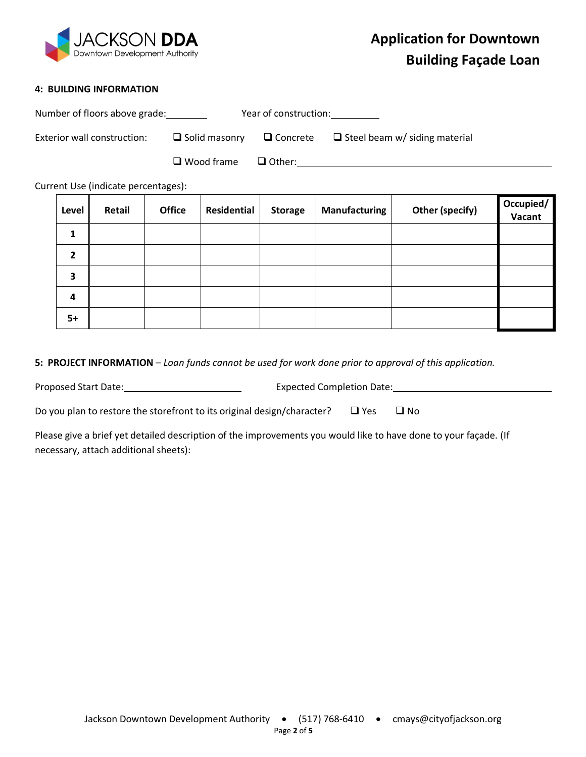

#### **4: BUILDING INFORMATION**

| Number of floors above grade: |                      | Year of construction: |                                                      |
|-------------------------------|----------------------|-----------------------|------------------------------------------------------|
| Exterior wall construction:   | $\Box$ Solid masonry |                       | $\Box$ Concrete $\Box$ Steel beam w/ siding material |
|                               | $\Box$ Wood frame    | $\Box$ Other:         |                                                      |

Current Use (indicate percentages):

| Level          | Retail | <b>Office</b> | Residential | <b>Storage</b> | Manufacturing | Other (specify) | Occupied/<br>Vacant |
|----------------|--------|---------------|-------------|----------------|---------------|-----------------|---------------------|
| 1              |        |               |             |                |               |                 |                     |
| $\overline{2}$ |        |               |             |                |               |                 |                     |
| 3              |        |               |             |                |               |                 |                     |
| 4              |        |               |             |                |               |                 |                     |
| $5+$           |        |               |             |                |               |                 |                     |

**5: PROJECT INFORMATION** – *Loan funds cannot be used for work done prior to approval of this application.*

Proposed Start Date: 1980 120 120 2012 120 2012 12: Expected Completion Date: 1980 12: 1980 12: 1980 12: 1980 12: 1980 12: 1980 12: 1980 12: 1980 12: 1980 12: 1980 12: 1980 12: 1980 12: 1980 12: 1980 12: 1980 12: 1980 12:

Do you plan to restore the storefront to its original design/character?  $\Box$  Yes  $\Box$  No

Please give a brief yet detailed description of the improvements you would like to have done to your façade. (If necessary, attach additional sheets):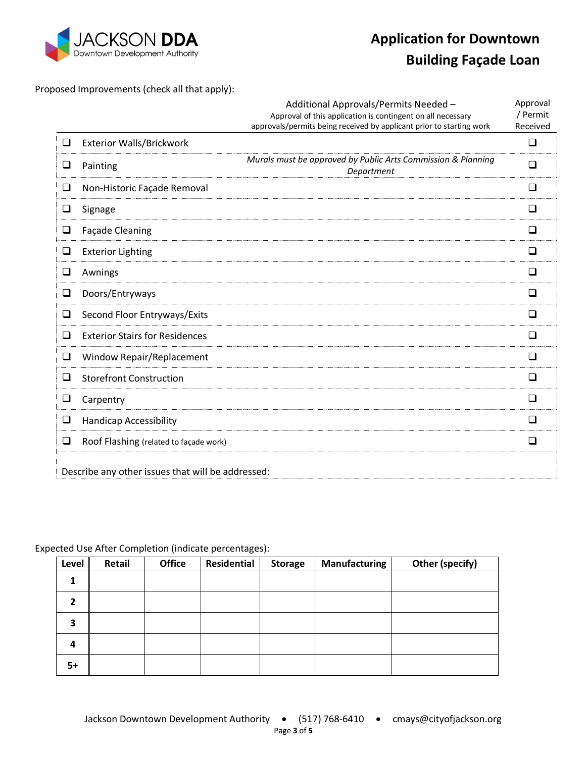

# **Application for Downtown**

# **Building Façade Loan**

Proposed Improvements (check all that apply):

|        |                                                   | Additional Approvals/Permits Needed -                                                                                               | Approval             |
|--------|---------------------------------------------------|-------------------------------------------------------------------------------------------------------------------------------------|----------------------|
|        |                                                   | Approval of this application is contingent on all necessary<br>approvals/permits being received by applicant prior to starting work | / Permit<br>Received |
| $\Box$ | <b>Exterior Walls/Brickwork</b>                   |                                                                                                                                     | ❏                    |
| $\Box$ | Painting                                          | Murals must be approved by Public Arts Commission & Planning<br>Department                                                          | $\Box$               |
| $\Box$ | Non-Historic Façade Removal                       |                                                                                                                                     | □                    |
| $\Box$ | Signage                                           |                                                                                                                                     | ❏                    |
| $\Box$ | <b>Façade Cleaning</b>                            |                                                                                                                                     | ◻                    |
| $\Box$ | <b>Exterior Lighting</b>                          |                                                                                                                                     | $\Box$               |
| $\Box$ | Awnings                                           |                                                                                                                                     | ❏                    |
| ❏      | Doors/Entryways                                   |                                                                                                                                     | □                    |
| ❏      | Second Floor Entryways/Exits                      |                                                                                                                                     | ❏                    |
| □      | <b>Exterior Stairs for Residences</b>             |                                                                                                                                     | ◻                    |
| $\Box$ | Window Repair/Replacement                         |                                                                                                                                     | ❏                    |
| ❏      | <b>Storefront Construction</b>                    |                                                                                                                                     | ப                    |
| $\Box$ | Carpentry                                         |                                                                                                                                     | ◻                    |
| $\Box$ | <b>Handicap Accessibility</b>                     |                                                                                                                                     | □                    |
| ❏      | Roof Flashing (related to façade work)            |                                                                                                                                     | $\Box$               |
|        | Describe any other issues that will be addressed: |                                                                                                                                     |                      |

Expected Use After Completion (indicate percentages):

| Level        | Retail | <b>Office</b> | Residential | <b>Storage</b> | Manufacturing | <b>Other (specify)</b> |
|--------------|--------|---------------|-------------|----------------|---------------|------------------------|
| 1            |        |               |             |                |               |                        |
| $\mathbf{z}$ |        |               |             |                |               |                        |
| 3            |        |               |             |                |               |                        |
| 4            |        |               |             |                |               |                        |
| $5+$         |        |               |             |                |               |                        |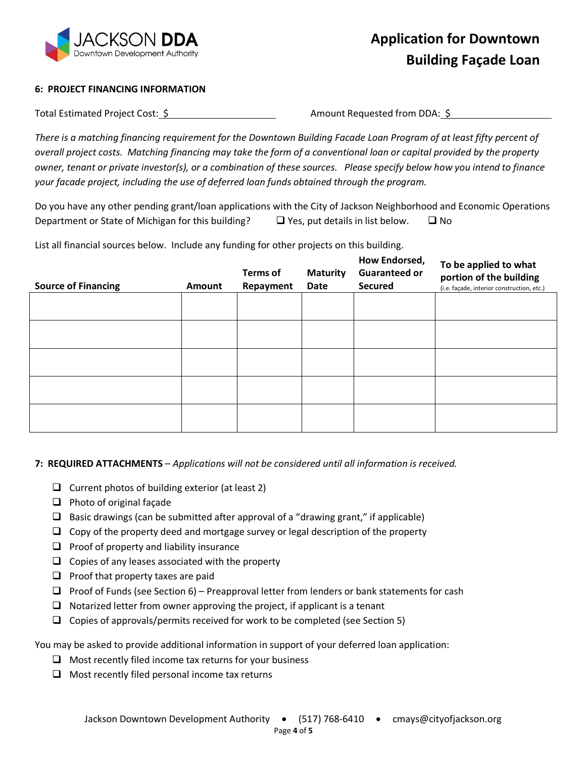

#### **6: PROJECT FINANCING INFORMATION**

Total Estimated Project Cost:  $\frac{5}{7}$  Amount Requested from DDA:  $\frac{5}{7}$ 

*There is a matching financing requirement for the Downtown Building Facade Loan Program of at least fifty percent of overall project costs. Matching financing may take the form of a conventional loan or capital provided by the property owner, tenant or private investor(s), or a combination of these sources. Please specify below how you intend to finance your facade project, including the use of deferred loan funds obtained through the program.*

Do you have any other pending grant/loan applications with the City of Jackson Neighborhood and Economic Operations Department or State of Michigan for this building?  $\Box$  Yes, put details in list below.  $\Box$  No

List all financial sources below. Include any funding for other projects on this building.

| <b>Source of Financing</b> | Amount | <b>Terms of</b><br>Repayment | <b>Maturity</b><br><b>Date</b> | How Endorsed,<br><b>Guaranteed or</b><br><b>Secured</b> | To be applied to what<br>portion of the building<br>(i.e. façade, interior construction, etc.) |
|----------------------------|--------|------------------------------|--------------------------------|---------------------------------------------------------|------------------------------------------------------------------------------------------------|
|                            |        |                              |                                |                                                         |                                                                                                |
|                            |        |                              |                                |                                                         |                                                                                                |
|                            |        |                              |                                |                                                         |                                                                                                |
|                            |        |                              |                                |                                                         |                                                                                                |
|                            |        |                              |                                |                                                         |                                                                                                |

**7: REQUIRED ATTACHMENTS** – *Applications will not be considered until all information is received.*

- $\Box$  Current photos of building exterior (at least 2)
- $\Box$  Photo of original façade
- **Q** Basic drawings (can be submitted after approval of a "drawing grant," if applicable)
- $\Box$  Copy of the property deed and mortgage survey or legal description of the property
- $\Box$  Proof of property and liability insurance
- $\Box$  Copies of any leases associated with the property
- $\Box$  Proof that property taxes are paid
- $\Box$  Proof of Funds (see Section 6) Preapproval letter from lenders or bank statements for cash
- $\Box$  Notarized letter from owner approving the project, if applicant is a tenant
- $\Box$  Copies of approvals/permits received for work to be completed (see Section 5)

You may be asked to provide additional information in support of your deferred loan application:

- $\Box$  Most recently filed income tax returns for your business
- $\Box$  Most recently filed personal income tax returns